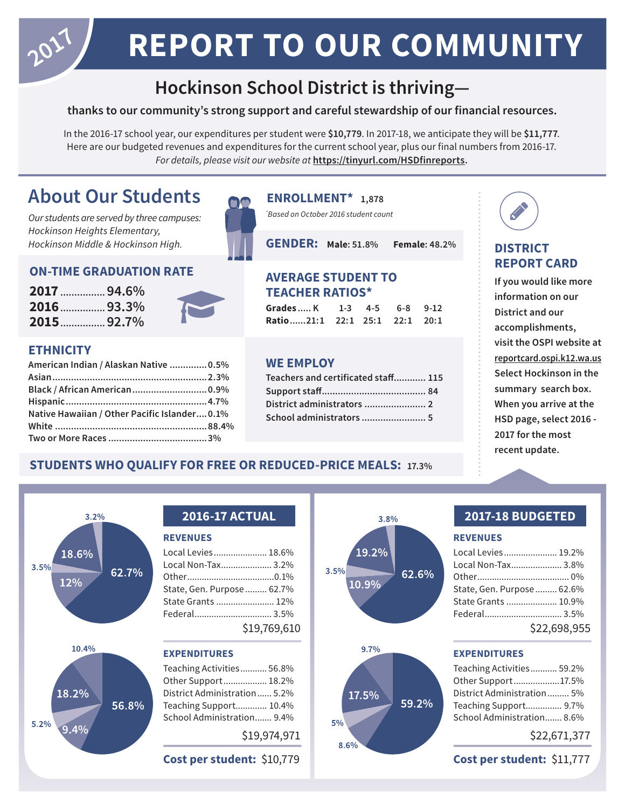## **REPORT TO OUR COMMUNITY**

## **Hockinson School District is thriving—**

#### **thanks to our community's strong support and careful stewardship of our financial resources.**

In the 2016-17 school year, our expenditures per student were \$10,779. In 2017-18, we anticipate they will be \$11,777. Here are our budgeted revenues and expenditures for the current school year, plus our final numbers from 2016-17. *For details, please visit our website at* **https://tinyurl.com/HSDfinreports.**

## **About Our Students ENROLLMENT\* 1,878**

*Our students are served by three campuses: Hockinson Heights Elementary, Hockinson Middle & Hockinson High.*

#### **ON-TIME GRADUATION RATE**

**2017 ................94.6% 2016 ................93.3% 2015 ................92.7%**



#### **ETHNICITY**

| American Indian / Alaskan Native  0.5%        |  |
|-----------------------------------------------|--|
|                                               |  |
| Black / African American 0.9%                 |  |
|                                               |  |
| Native Hawaiian / Other Pacific Islander 0.1% |  |
|                                               |  |
|                                               |  |

*\* Based on October 2016 student count*

**GENDER: Male: 51.8% Female: 48.2%**

#### **AVERAGE STUDENT TO TEACHER RATIOS\***

| Grades K 1-3 4-5 6-8 9-12     |  |  |
|-------------------------------|--|--|
| Ratio21:1 22:1 25:1 22:1 20:1 |  |  |

#### **WE EMPLOY**

| Teachers and certificated staff 115 |
|-------------------------------------|
|                                     |
|                                     |
| School administrators  5            |
|                                     |

### **DISTRICT REPORT CARD**

**If you would like more information on our District and our accomplishments, visit the OSPI website at reportcard.ospi.k12.wa.us Select Hockinson in the summary search box. When you arrive at the HSD page, select 2016 - 2017 for the most recent update.**

### **STUDENTS WHO QUALIFY FOR FREE OR REDUCED-PRICE MEALS: 17.3%**



#### **REVENUES**

| Local Levies 18.6%         |              |
|----------------------------|--------------|
| Local Non-Tax 3.2%         |              |
|                            |              |
| State, Gen. Purpose  62.7% |              |
| State Grants  12%          |              |
|                            |              |
|                            | \$19,769,610 |

#### **EXPENDITURES**

Teaching Activities ........... 56.8% Other Support .................. 18.2% District Administration ...... 5.2% Teaching Support............. 10.4% School Administration....... 9.4%

#### \$19,974,971

**Cost per student:** \$10,779





#### **REVENUES**

| Local Levies 19.2%         |              |
|----------------------------|--------------|
| Local Non-Tax 3.8%         |              |
|                            |              |
| State, Gen. Purpose  62.6% |              |
| State Grants  10.9%        |              |
| Federal 3.5%               |              |
|                            | \$22,698,955 |

#### **EXPENDITURES**



\$22,671,377

**Cost per student:** \$11,777